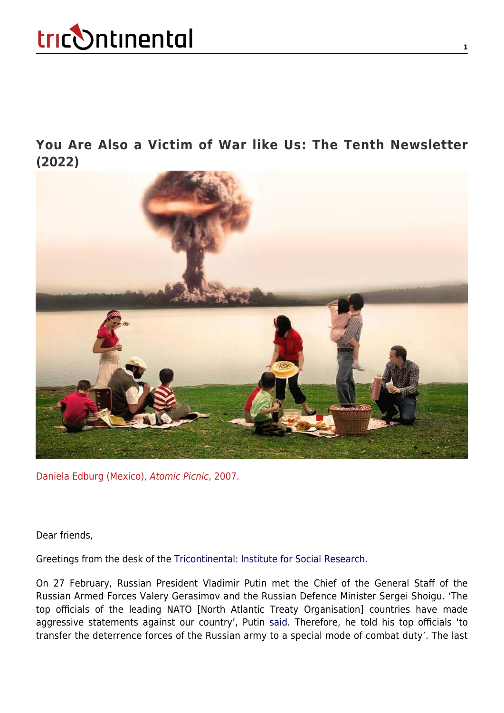**[You Are Also a Victim of War like Us: The Tenth Newsletter](https://thetricontinental.org/newsletterissue/nuclear-weapons/) [\(2022\)](https://thetricontinental.org/newsletterissue/nuclear-weapons/)**



Daniela Edburg (Mexico), Atomic Picnic, 2007.

Dear friends,

Greetings from the desk of the [Tricontinental: Institute for Social Research](https://thetricontinental.org/).

On 27 February, Russian President Vladimir Putin met the Chief of the General Staff of the Russian Armed Forces Valery Gerasimov and the Russian Defence Minister Sergei Shoigu. 'The top officials of the leading NATO [North Atlantic Treaty Organisation] countries have made aggressive statements against our country', Putin [said.](https://www.popmech.ru/weapon/818963-chto-oznachaet-osobyy-rezhim-boevogo-dezhurstva/) Therefore, he told his top officials 'to transfer the deterrence forces of the Russian army to a special mode of combat duty'. The last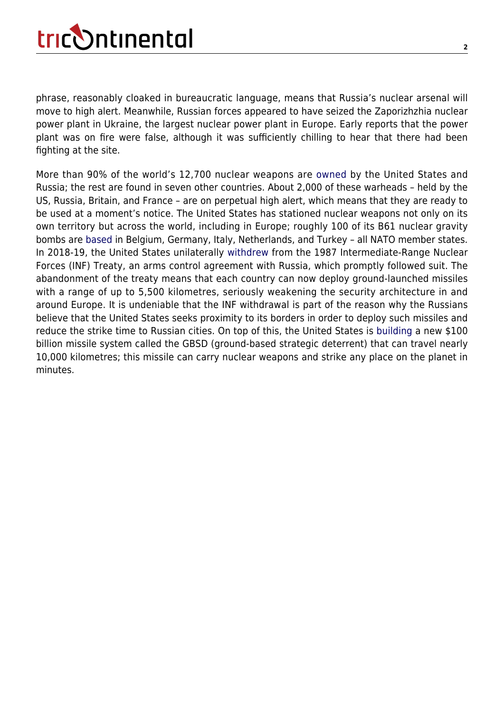phrase, reasonably cloaked in bureaucratic language, means that Russia's nuclear arsenal will move to high alert. Meanwhile, Russian forces appeared to have seized the Zaporizhzhia nuclear power plant in Ukraine, the largest nuclear power plant in Europe. Early reports that the power plant was on fire were false, although it was sufficiently chilling to hear that there had been fighting at the site.

More than 90% of the world's 12,700 nuclear weapons are [owned](https://fas.org/issues/nuclear-weapons/status-world-nuclear-forces/) by the United States and Russia; the rest are found in seven other countries. About 2,000 of these warheads – held by the US, Russia, Britain, and France – are on perpetual high alert, which means that they are ready to be used at a moment's notice. The United States has stationed nuclear weapons not only on its own territory but across the world, including in Europe; roughly 100 of its B61 nuclear gravity bombs are [based](https://sipri.org/sites/default/files/2021-06/yb21_10_wnf_210613.pdf) in Belgium, Germany, Italy, Netherlands, and Turkey – all NATO member states. In 2018-19, the United States unilaterally [withdrew](https://www.armscontrol.org/act/2019-09/news/us-completes-inf-treaty-withdrawal) from the 1987 Intermediate-Range Nuclear Forces (INF) Treaty, an arms control agreement with Russia, which promptly followed suit. The abandonment of the treaty means that each country can now deploy ground-launched missiles with a range of up to 5,500 kilometres, seriously weakening the security architecture in and around Europe. It is undeniable that the INF withdrawal is part of the reason why the Russians believe that the United States seeks proximity to its borders in order to deploy such missiles and reduce the strike time to Russian cities. On top of this, the United States is [building](https://thebulletin.org/2021/02/why-is-america-getting-a-new-100-billion-nuclear-weapon/) a new \$100 billion missile system called the GBSD (ground-based strategic deterrent) that can travel nearly 10,000 kilometres; this missile can carry nuclear weapons and strike any place on the planet in minutes.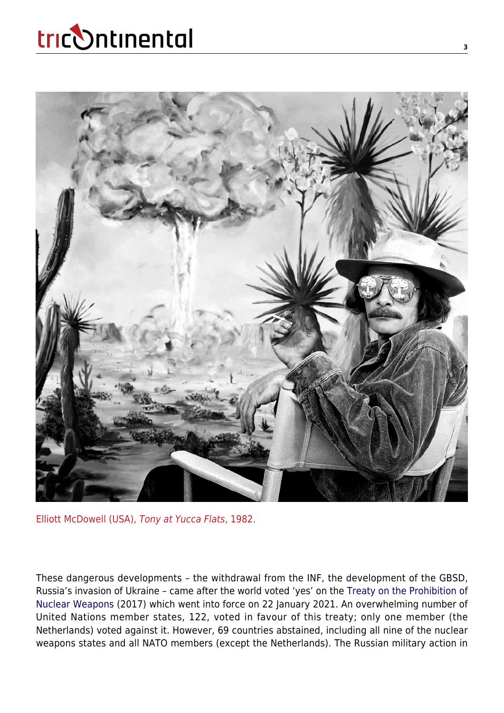

Elliott McDowell (USA), Tony at Yucca Flats, 1982.

These dangerous developments – the withdrawal from the INF, the development of the GBSD, Russia's invasion of Ukraine – came after the world voted 'yes' on the [Treaty on the Prohibition of](https://treaties.un.org/doc/Treaties/2017/07/20170707%2003-42%20PM/Ch_XXVI_9.pdf) [Nuclear Weapons](https://treaties.un.org/doc/Treaties/2017/07/20170707%2003-42%20PM/Ch_XXVI_9.pdf) (2017) which went into force on 22 January 2021. An overwhelming number of United Nations member states, 122, voted in favour of this treaty; only one member (the Netherlands) voted against it. However, 69 countries abstained, including all nine of the nuclear weapons states and all NATO members (except the Netherlands). The Russian military action in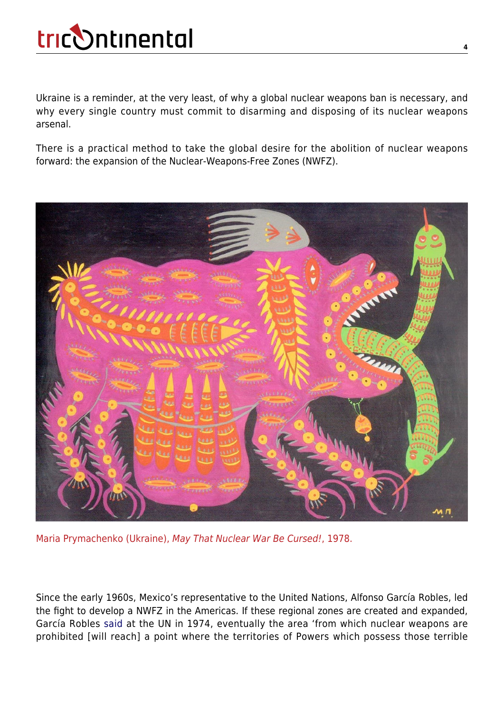Ukraine is a reminder, at the very least, of why a global nuclear weapons ban is necessary, and why every single country must commit to disarming and disposing of its nuclear weapons arsenal.

There is a practical method to take the global desire for the abolition of nuclear weapons forward: the expansion of the Nuclear-Weapons-Free Zones (NWFZ).



Maria Prymachenko (Ukraine), May That Nuclear War Be Cursed!, 1978.

Since the early 1960s, Mexico's representative to the United Nations, Alfonso García Robles, led the fight to develop a NWFZ in the Americas. If these regional zones are created and expanded, García Robles [said](https://unoda-web.s3-accelerate.amazonaws.com/documents/library/A-C1-PV2018.pdf) at the UN in 1974, eventually the area 'from which nuclear weapons are prohibited [will reach] a point where the territories of Powers which possess those terrible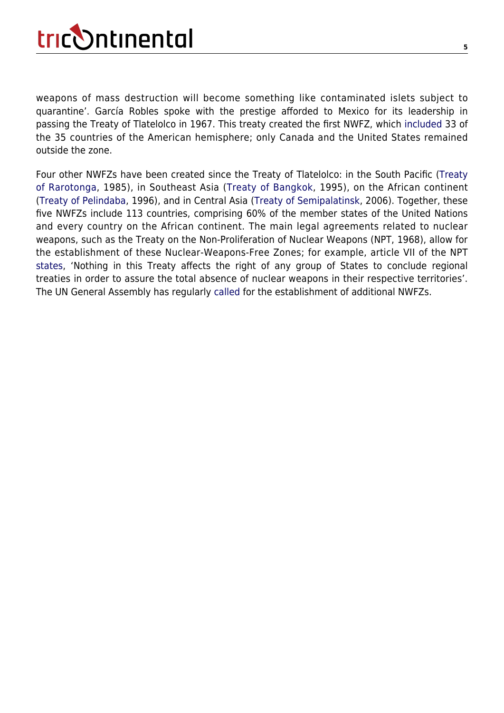weapons of mass destruction will become something like contaminated islets subject to quarantine'. García Robles spoke with the prestige afforded to Mexico for its leadership in passing the Treaty of Tlatelolco in 1967. This treaty created the first NWFZ, which [included](https://treaties.unoda.org/t/tlatelolco) 33 of the 35 countries of the American hemisphere; only Canada and the United States remained outside the zone.

Four other NWFZs have been created since the Treaty of Tlatelolco: in the South Pacific [\(Treaty](https://www.un.org/nwfz/content/treaty-rarotonga) [of Rarotonga](https://www.un.org/nwfz/content/treaty-rarotonga), 1985), in Southeast Asia ([Treaty of Bangkok,](https://www.un.org/nwfz/fr/content/treaty-bangkok) 1995), on the African continent ([Treaty of Pelindaba,](https://www.un.org/nwfz/content/treaty-pelindaba) 1996), and in Central Asia ([Treaty of Semipalatinsk](https://www.un.org/nwfz/content/treaty-nuclear-weapon-free-zone-central-asia), 2006). Together, these five NWFZs include 113 countries, comprising 60% of the member states of the United Nations and every country on the African continent. The main legal agreements related to nuclear weapons, such as the Treaty on the Non-Proliferation of Nuclear Weapons (NPT, 1968), allow for the establishment of these Nuclear-Weapons-Free Zones; for example, article VII of the NPT [states](https://www.un.org/disarmament/wmd/nuclear/npt/text/), 'Nothing in this Treaty affects the right of any group of States to conclude regional treaties in order to assure the total absence of nuclear weapons in their respective territories'. The UN General Assembly has regularly [called](http://www.nuclearfiles.org/menu/library/treaties/nuclear-free-zones/UNGA_Res3472_1975.pdf) for the establishment of additional NWFZs.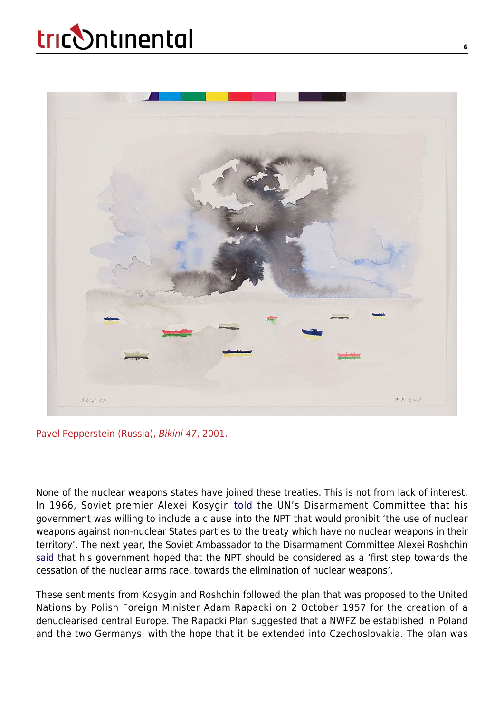

Pavel Pepperstein (Russia), Bikini 47, 2001.

None of the nuclear weapons states have joined these treaties. This is not from lack of interest. In 1966, Soviet premier Alexei Kosygin [told](http://unoda-web.s3-accelerate.amazonaws.com/wp-content/uploads/assets/publications/documents_on_disarmament/1966/DoD_1966.pdf) the UN's Disarmament Committee that his government was willing to include a clause into the NPT that would prohibit 'the use of nuclear weapons against non-nuclear States parties to the treaty which have no nuclear weapons in their territory'. The next year, the Soviet Ambassador to the Disarmament Committee Alexei Roshchin [said](https://digitallibrary.un.org/record/1626864?ln=en) that his government hoped that the NPT should be considered as a 'first step towards the cessation of the nuclear arms race, towards the elimination of nuclear weapons'.

These sentiments from Kosygin and Roshchin followed the plan that was proposed to the United Nations by Polish Foreign Minister Adam Rapacki on 2 October 1957 for the creation of a denuclearised central Europe. The Rapacki Plan suggested that a NWFZ be established in Poland and the two Germanys, with the hope that it be extended into Czechoslovakia. The plan was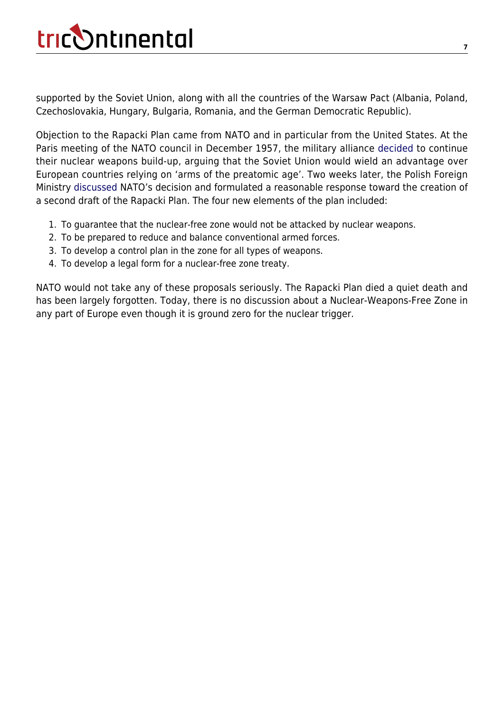supported by the Soviet Union, along with all the countries of the Warsaw Pact (Albania, Poland, Czechoslovakia, Hungary, Bulgaria, Romania, and the German Democratic Republic).

Objection to the Rapacki Plan came from NATO and in particular from the United States. At the Paris meeting of the NATO council in December 1957, the military alliance [decided](https://www.nato.int/docu/comm/49-95/c571219a.htm) to continue their nuclear weapons build-up, arguing that the Soviet Union would wield an advantage over European countries relying on 'arms of the preatomic age'. Two weeks later, the Polish Foreign Ministry [discussed](https://digitalarchive.wilsoncenter.org/document/208906) NATO's decision and formulated a reasonable response toward the creation of a second draft of the Rapacki Plan. The four new elements of the plan included:

- 1. To guarantee that the nuclear-free zone would not be attacked by nuclear weapons.
- 2. To be prepared to reduce and balance conventional armed forces.
- 3. To develop a control plan in the zone for all types of weapons.
- 4. To develop a legal form for a nuclear-free zone treaty.

NATO would not take any of these proposals seriously. The Rapacki Plan died a quiet death and has been largely forgotten. Today, there is no discussion about a Nuclear-Weapons-Free Zone in any part of Europe even though it is ground zero for the nuclear trigger.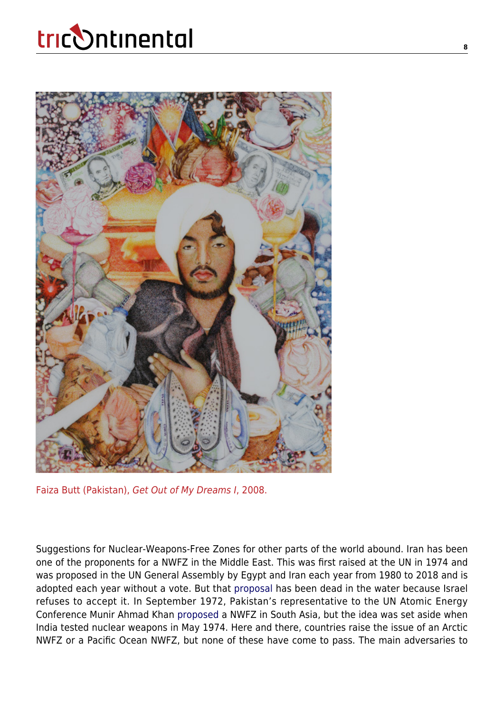

Faiza Butt (Pakistan), Get Out of My Dreams I, 2008.

Suggestions for Nuclear-Weapons-Free Zones for other parts of the world abound. Iran has been one of the proponents for a NWFZ in the Middle East. This was first raised at the UN in 1974 and was proposed in the UN General Assembly by Egypt and Iran each year from 1980 to 2018 and is adopted each year without a vote. But that [proposal](https://www.armscontrol.org/act/2020-09/features/middle-eastern-wmd-free-zone-we-any-closer-now) has been dead in the water because Israel refuses to accept it. In September 1972, Pakistan's representative to the UN Atomic Energy Conference Munir Ahmad Khan [proposed](https://ciaotest.cc.columbia.edu/olj/sa/sa_99pns01.html) a NWFZ in South Asia, but the idea was set aside when India tested nuclear weapons in May 1974. Here and there, countries raise the issue of an Arctic NWFZ or a Pacific Ocean NWFZ, but none of these have come to pass. The main adversaries to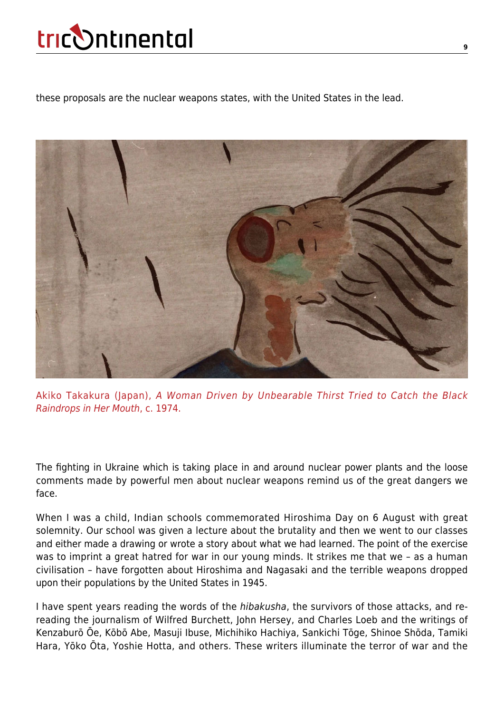these proposals are the nuclear weapons states, with the United States in the lead.



Akiko Takakura (Japan), A Woman Driven by Unbearable Thirst Tried to Catch the Black Raindrops in Her Mouth, c. 1974.

The fighting in Ukraine which is taking place in and around nuclear power plants and the loose comments made by powerful men about nuclear weapons remind us of the great dangers we face.

When I was a child, Indian schools commemorated Hiroshima Day on 6 August with great solemnity. Our school was given a lecture about the brutality and then we went to our classes and either made a drawing or wrote a story about what we had learned. The point of the exercise was to imprint a great hatred for war in our young minds. It strikes me that we – as a human civilisation – have forgotten about Hiroshima and Nagasaki and the terrible weapons dropped upon their populations by the United States in 1945.

I have spent years reading the words of the hibakusha, the survivors of those attacks, and rereading the journalism of Wilfred Burchett, John Hersey, and Charles Loeb and the writings of Kenzaburō Ōe, Kōbō Abe, Masuji Ibuse, Michihiko Hachiya, Sankichi Tōge, Shinoe Shōda, Tamiki Hara, Yōko Ōta, Yoshie Hotta, and others. These writers illuminate the terror of war and the